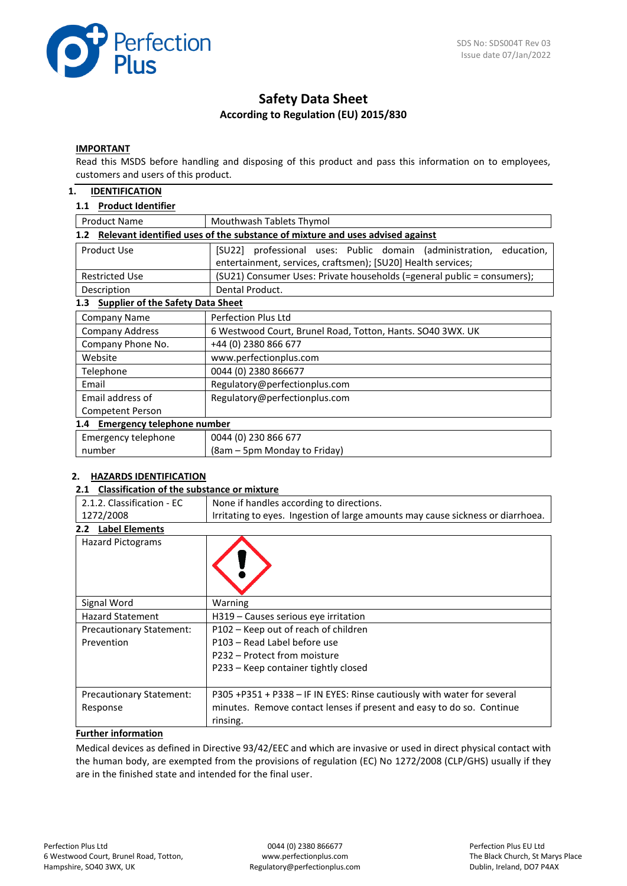

# **Safety Data Sheet According to Regulation (EU) 2015/830**

#### **IMPORTANT**

Read this MSDS before handling and disposing of this product and pass this information on to employees, customers and users of this product.

## **1. IDENTIFICATION**

## **1.1 Product Identifier**

| <b>Product Name</b><br>Mouthwash Tablets Thymol                                                   |                                                                                                                                        |  |  |
|---------------------------------------------------------------------------------------------------|----------------------------------------------------------------------------------------------------------------------------------------|--|--|
| Relevant identified uses of the substance of mixture and uses advised against<br>1.2 <sub>2</sub> |                                                                                                                                        |  |  |
| Product Use                                                                                       | [SU22] professional uses: Public domain (administration,<br>education,<br>entertainment, services, craftsmen); [SU20] Health services; |  |  |
| <b>Restricted Use</b>                                                                             | (SU21) Consumer Uses: Private households (=general public = consumers);                                                                |  |  |
| Description                                                                                       | Dental Product.                                                                                                                        |  |  |
| <b>Supplier of the Safety Data Sheet</b><br>1.3                                                   |                                                                                                                                        |  |  |
| <b>Company Name</b>                                                                               | Perfection Plus Ltd                                                                                                                    |  |  |
| <b>Company Address</b>                                                                            | 6 Westwood Court, Brunel Road, Totton, Hants. SO40 3WX. UK                                                                             |  |  |
| Company Phone No.                                                                                 | +44 (0) 2380 866 677                                                                                                                   |  |  |
| Website                                                                                           | www.perfectionplus.com                                                                                                                 |  |  |
| Telephone                                                                                         | 0044 (0) 2380 866677                                                                                                                   |  |  |
| Email                                                                                             | Regulatory@perfectionplus.com                                                                                                          |  |  |
| Email address of                                                                                  | Regulatory@perfectionplus.com                                                                                                          |  |  |
| Competent Person                                                                                  |                                                                                                                                        |  |  |
| 1.4 Emergency telephone number                                                                    |                                                                                                                                        |  |  |
| Emergency telephone                                                                               | 0044 (0) 230 866 677                                                                                                                   |  |  |
| number                                                                                            | (8am – 5pm Monday to Friday)                                                                                                           |  |  |

## **2. HAZARDS IDENTIFICATION**

#### **2.1 Classification of the substance or mixture**

| 2.1.2. Classification - EC<br>None if handles according to directions.                       |                                                                         |  |  |
|----------------------------------------------------------------------------------------------|-------------------------------------------------------------------------|--|--|
| 1272/2008<br>Irritating to eyes. Ingestion of large amounts may cause sickness or diarrhoea. |                                                                         |  |  |
| <b>Label Elements</b><br>$2.2^{\circ}$                                                       |                                                                         |  |  |
| <b>Hazard Pictograms</b>                                                                     |                                                                         |  |  |
| Signal Word                                                                                  | Warning                                                                 |  |  |
| <b>Hazard Statement</b>                                                                      | H319 - Causes serious eye irritation                                    |  |  |
| Precautionary Statement:                                                                     | P102 – Keep out of reach of children                                    |  |  |
| Prevention                                                                                   | P103 - Read Label before use                                            |  |  |
|                                                                                              | P232 – Protect from moisture                                            |  |  |
|                                                                                              | P233 – Keep container tightly closed                                    |  |  |
| <b>Precautionary Statement:</b>                                                              | P305 +P351 + P338 - IF IN EYES: Rinse cautiously with water for several |  |  |
| Response                                                                                     | minutes. Remove contact lenses if present and easy to do so. Continue   |  |  |
|                                                                                              | rinsing.                                                                |  |  |

# **Further information**

Medical devices as defined in Directive 93/42/EEC and which are invasive or used in direct physical contact with the human body, are exempted from the provisions of regulation (EC) No 1272/2008 (CLP/GHS) usually if they are in the finished state and intended for the final user.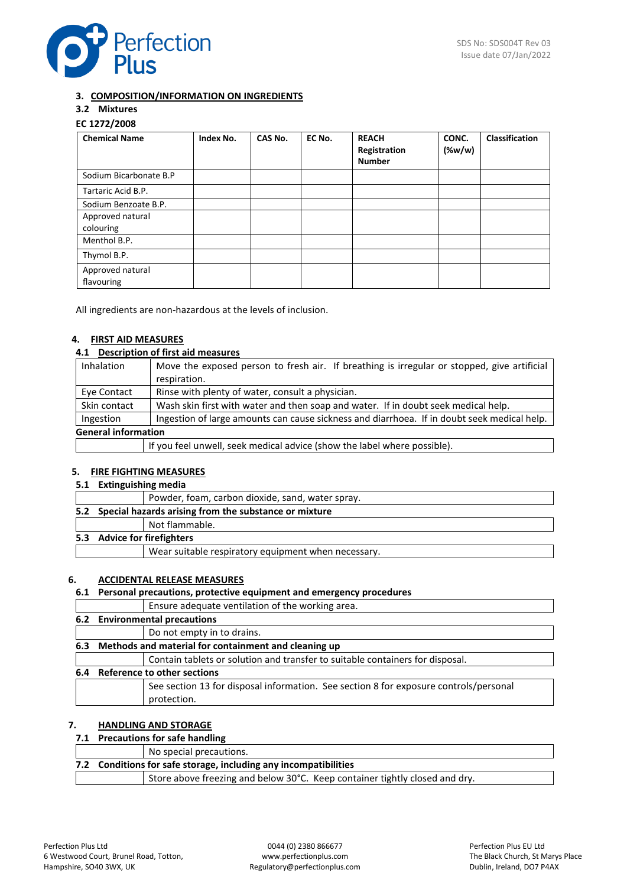

## **3. COMPOSITION/INFORMATION ON INGREDIENTS**

# **3.2 Mixtures**

# **EC 1272/2008**

| <b>Chemical Name</b>           | Index No. | CAS No. | EC No. | <b>REACH</b><br>Registration<br><b>Number</b> | CONC.<br>$(\%w/w)$ | <b>Classification</b> |
|--------------------------------|-----------|---------|--------|-----------------------------------------------|--------------------|-----------------------|
| Sodium Bicarbonate B.P         |           |         |        |                                               |                    |                       |
| Tartaric Acid B.P.             |           |         |        |                                               |                    |                       |
| Sodium Benzoate B.P.           |           |         |        |                                               |                    |                       |
| Approved natural               |           |         |        |                                               |                    |                       |
| colouring                      |           |         |        |                                               |                    |                       |
| Menthol B.P.                   |           |         |        |                                               |                    |                       |
| Thymol B.P.                    |           |         |        |                                               |                    |                       |
| Approved natural<br>flavouring |           |         |        |                                               |                    |                       |

All ingredients are non-hazardous at the levels of inclusion.

## **4. FIRST AID MEASURES**

## **4.1 Description of first aid measures**

| <b>Inhalation</b>          | Move the exposed person to fresh air. If breathing is irregular or stopped, give artificial |  |
|----------------------------|---------------------------------------------------------------------------------------------|--|
|                            | respiration.                                                                                |  |
| Eye Contact                | Rinse with plenty of water, consult a physician.                                            |  |
| Skin contact               | Wash skin first with water and then soap and water. If in doubt seek medical help.          |  |
| Ingestion                  | Ingestion of large amounts can cause sickness and diarrhoea. If in doubt seek medical help. |  |
| <b>General information</b> |                                                                                             |  |
|                            | If you feel unwell, seek medical advice (show the label where possible).                    |  |

#### **5. FIRE FIGHTING MEASURES**

#### **5.1 Extinguishing media**

|  | Powder, foam, carbon dioxide, sand, water spray.          |
|--|-----------------------------------------------------------|
|  | 5.2 Special hazards arising from the substance or mixture |
|  | Not flammable.                                            |
|  | 5.3 Advice for firefighters                               |
|  | Wear suitable respiratory equipment when necessary.       |
|  |                                                           |

### **6. ACCIDENTAL RELEASE MEASURES**

# **6.1 Personal precautions, protective equipment and emergency procedures**

|     | Ensure adequate ventilation of the working area.                                                     |
|-----|------------------------------------------------------------------------------------------------------|
|     | 6.2 Environmental precautions                                                                        |
|     | Do not empty in to drains.                                                                           |
| 6.3 | Methods and material for containment and cleaning up                                                 |
|     | Contain tablets or solution and transfer to suitable containers for disposal.                        |
|     | 6.4 Reference to other sections                                                                      |
|     | See section 13 for disposal information. See section 8 for exposure controls/personal<br>protection. |
|     |                                                                                                      |

## **7. HANDLING AND STORAGE**

# **7.1 Precautions for safe handling**

# No special precautions.

| 7.2 Conditions for safe storage, including any incompatibilities |                                                                             |  |  |
|------------------------------------------------------------------|-----------------------------------------------------------------------------|--|--|
|                                                                  | Store above freezing and below 30°C. Keep container tightly closed and dry. |  |  |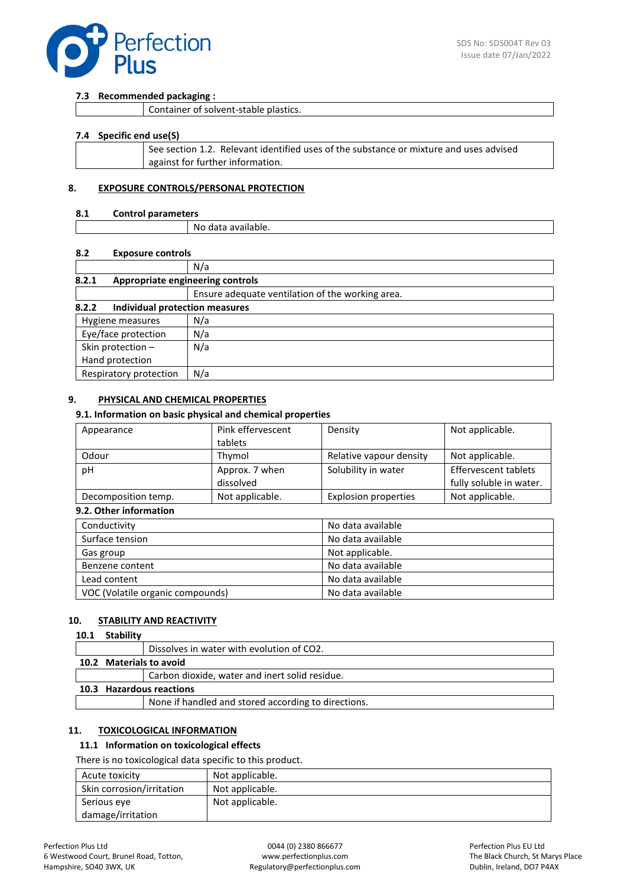

#### **7.3 Recommended packaging :**

| Container of solvent-stable plastics. |  |
|---------------------------------------|--|
|---------------------------------------|--|

#### **7.4 Specific end use(S)**

| See section 1.2. Relevant identified uses of the substance or mixture and uses advised |
|----------------------------------------------------------------------------------------|
| against for further information.                                                       |
|                                                                                        |

#### **8. EXPOSURE CONTROLS/PERSONAL PROTECTION**

### **8.1 Control parameters**

| Νc<br>) data<br>' dvdildDie. |  |
|------------------------------|--|

#### **8.2 Exposure controls**

|                                           | N/a                                              |  |
|-------------------------------------------|--------------------------------------------------|--|
| 8.2.1<br>Appropriate engineering controls |                                                  |  |
|                                           | Ensure adequate ventilation of the working area. |  |
| 8.2.2<br>Individual protection measures   |                                                  |  |
| Hygiene measures                          | N/a                                              |  |
| Eye/face protection                       | N/a                                              |  |
| Skin protection -                         | N/a                                              |  |
| Hand protection                           |                                                  |  |
| Respiratory protection                    | N/a                                              |  |

## **9. PHYSICAL AND CHEMICAL PROPERTIES**

#### **9.1. Information on basic physical and chemical properties**

| Appearance          | Pink effervescent | Density                     | Not applicable.             |
|---------------------|-------------------|-----------------------------|-----------------------------|
|                     | tablets           |                             |                             |
| Odour               | Thvmol            | Relative vapour density     | Not applicable.             |
| рH                  | Approx. 7 when    | Solubility in water         | <b>Effervescent tablets</b> |
|                     | dissolved         |                             | fully soluble in water.     |
| Decomposition temp. | Not applicable.   | <b>Explosion properties</b> | Not applicable.             |

### **9.2. Other information**

| Conductivity                     | No data available |
|----------------------------------|-------------------|
| Surface tension                  | No data available |
| Gas group                        | Not applicable.   |
| Benzene content                  | No data available |
| Lead content                     | No data available |
| VOC (Volatile organic compounds) | No data available |

## **10. STABILITY AND REACTIVITY**

#### **10.1 Stability**

|                          |  | Dissolves in water with evolution of CO2.           |
|--------------------------|--|-----------------------------------------------------|
| 10.2 Materials to avoid  |  |                                                     |
|                          |  | Carbon dioxide, water and inert solid residue.      |
| 10.3 Hazardous reactions |  |                                                     |
|                          |  | None if handled and stored according to directions. |

#### **11. TOXICOLOGICAL INFORMATION**

### **11.1 Information on toxicological effects**

There is no toxicological data specific to this product.

| Acute toxicity            | Not applicable. |
|---------------------------|-----------------|
| Skin corrosion/irritation | Not applicable. |
| Serious eye               | Not applicable. |
| damage/irritation         |                 |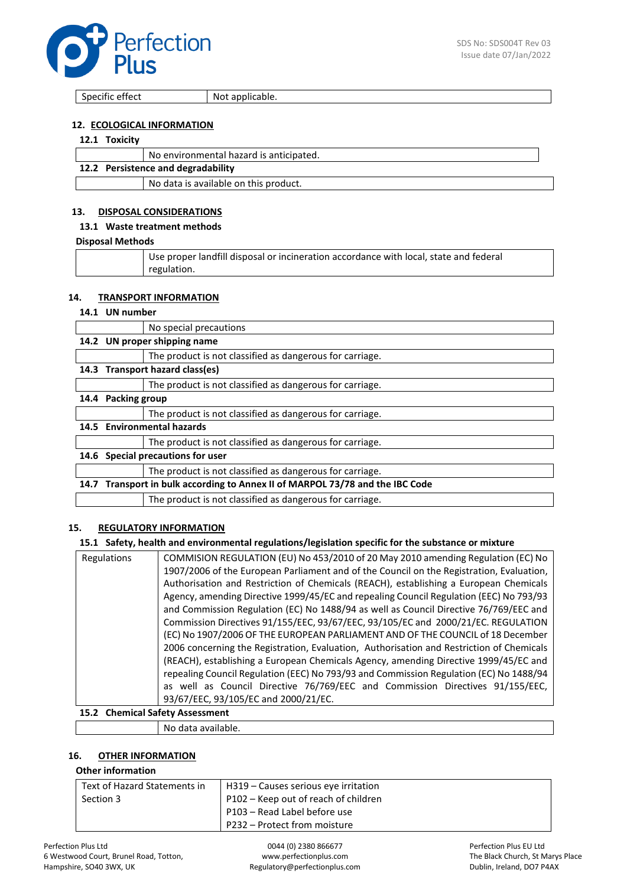

Specific effect Not applicable.

## **12. ECOLOGICAL INFORMATION**

## **12.1 Toxicity**

|                                    | No environmental hazard is anticipated. |  |
|------------------------------------|-----------------------------------------|--|
| 12.2 Persistence and degradability |                                         |  |
|                                    | No data is available on this product.   |  |

## **13. DISPOSAL CONSIDERATIONS**

#### **13.1 Waste treatment methods**

#### **Disposal Methods**

| Use proper landfill disposal or incineration accordance with local, state and federal |
|---------------------------------------------------------------------------------------|
| regulation.                                                                           |

## **14. TRANSPORT INFORMATION**

#### **14.1 UN number**

|      |                                                                          | No special precautions                                   |
|------|--------------------------------------------------------------------------|----------------------------------------------------------|
|      | 14.2 UN proper shipping name                                             |                                                          |
|      |                                                                          | The product is not classified as dangerous for carriage. |
|      | 14.3 Transport hazard class(es)                                          |                                                          |
|      |                                                                          | The product is not classified as dangerous for carriage. |
| 14.4 | <b>Packing group</b>                                                     |                                                          |
|      |                                                                          | The product is not classified as dangerous for carriage. |
|      | 14.5 Environmental hazards                                               |                                                          |
|      |                                                                          | The product is not classified as dangerous for carriage. |
|      | 14.6 Special precautions for user                                        |                                                          |
|      |                                                                          | The product is not classified as dangerous for carriage. |
| 14.7 | Transport in bulk according to Annex II of MARPOL 73/78 and the IBC Code |                                                          |
|      |                                                                          | The product is not classified as dangerous for carriage. |

### **15. REGULATORY INFORMATION**

### **15.1 Safety, health and environmental regulations/legislation specific for the substance or mixture**

| Regulations | COMMISION REGULATION (EU) No 453/2010 of 20 May 2010 amending Regulation (EC) No         |
|-------------|------------------------------------------------------------------------------------------|
|             | 1907/2006 of the European Parliament and of the Council on the Registration, Evaluation, |
|             | Authorisation and Restriction of Chemicals (REACH), establishing a European Chemicals    |
|             | Agency, amending Directive 1999/45/EC and repealing Council Regulation (EEC) No 793/93   |
|             | and Commission Regulation (EC) No 1488/94 as well as Council Directive 76/769/EEC and    |
|             | Commission Directives 91/155/EEC, 93/67/EEC, 93/105/EC and 2000/21/EC. REGULATION        |
|             | (EC) No 1907/2006 OF THE EUROPEAN PARLIAMENT AND OF THE COUNCIL of 18 December           |
|             | 2006 concerning the Registration, Evaluation, Authorisation and Restriction of Chemicals |
|             | (REACH), establishing a European Chemicals Agency, amending Directive 1999/45/EC and     |
|             | repealing Council Regulation (EEC) No 793/93 and Commission Regulation (EC) No 1488/94   |
|             | as well as Council Directive 76/769/EEC and Commission Directives 91/155/EEC,            |
|             | 93/67/EEC, 93/105/EC and 2000/21/EC.                                                     |

# **15.2 Chemical Safety Assessment**

## No data available.

# **16. OTHER INFORMATION**

### **Other information**

| Text of Hazard Statements in | H319 – Causes serious eye irritation |
|------------------------------|--------------------------------------|
| Section 3                    | P102 – Keep out of reach of children |
|                              | P103 – Read Label before use         |
|                              | P232 – Protect from moisture         |